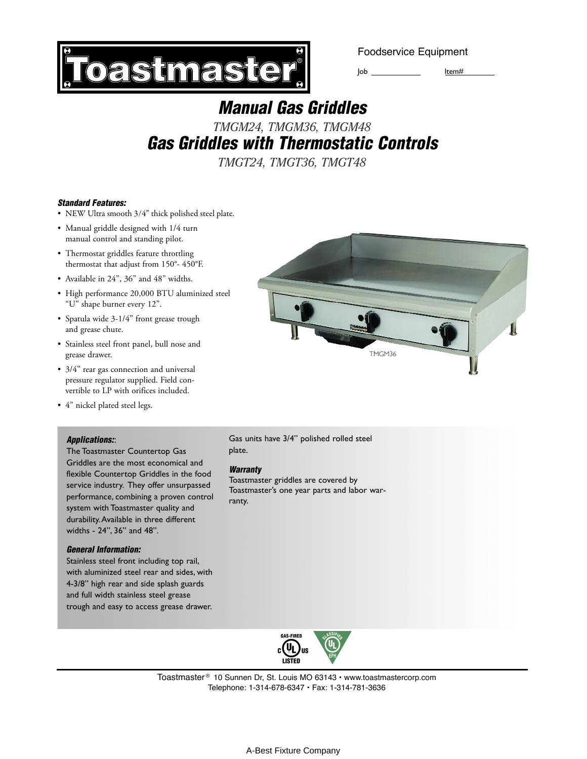**astmaster** 

Foodservice Equipment

Job Item#

# *Manual Gas Griddles*

# *TMGM24, TMGM36, TMGM48 Gas Griddles with Thermostatic Controls*

*TMGT24, TMGT36, TMGT48*

### *Standard Features:*

- NEW Ultra smooth 3/4" thick polished steel plate.
- Manual griddle designed with 1/4 turn manual control and standing pilot.
- Thermostat griddles feature throttling thermostat that adjust from 150°- 450°F.
- Available in 24", 36" and 48" widths.
- High performance 20,000 BTU aluminized steel "U" shape burner every 12".
- Spatula wide 3-1/4" front grease trough and grease chute.
- Stainless steel front panel, bull nose and grease drawer.
- 3/4" rear gas connection and universal pressure regulator supplied. Field convertible to LP with orifices included.
- 4" nickel plated steel legs.

### *Applications:*:

The Toastmaster Countertop Gas Griddles are the most economical and flexible Countertop Griddles in the food service industry. They offer unsurpassed performance, combining a proven control system with Toastmaster quality and durability. Available in three different widths - 24", 36" and 48".

#### *General Information:*

Stainless steel front including top rail, with aluminized steel rear and sides, with 4-3/8" high rear and side splash guards and full width stainless steel grease trough and easy to access grease drawer.



Gas units have 3/4" polished rolled steel plate.

#### *Warranty*

Toastmaster griddles are covered by Toastmaster's one year parts and labor warranty.



Toastmaster<sup>®</sup> 10 Sunnen Dr, St. Louis MO 63143 • www.toastmastercorp.com Telephone: 1-314-678-6347 • Fax: 1-314-781-3636